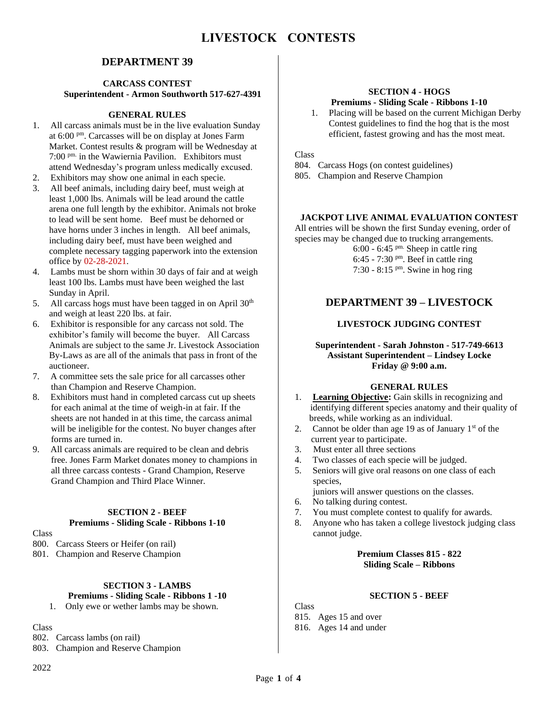# **DEPARTMENT 39**

#### **CARCASS CONTEST Superintendent - Armon Southworth 517-627-4391**

## **GENERAL RULES**

- 1. All carcass animals must be in the live evaluation Sunday at 6:00 pm. Carcasses will be on display at Jones Farm Market. Contest results & program will be Wednesday at 7:00 pm. in the Wawiernia Pavilion. Exhibitors must attend Wednesday's program unless medically excused.
- 2. Exhibitors may show one animal in each specie.
- 3. All beef animals, including dairy beef, must weigh at least 1,000 lbs. Animals will be lead around the cattle arena one full length by the exhibitor. Animals not broke to lead will be sent home. Beef must be dehorned or have horns under 3 inches in length. All beef animals, including dairy beef, must have been weighed and complete necessary tagging paperwork into the extension office by 02-28-2021.
- 4. Lambs must be shorn within 30 days of fair and at weigh least 100 lbs. Lambs must have been weighed the last Sunday in April.
- 5. All carcass hogs must have been tagged in on April  $30<sup>th</sup>$ and weigh at least 220 lbs. at fair.
- 6. Exhibitor is responsible for any carcass not sold. The exhibitor's family will become the buyer. All Carcass Animals are subject to the same Jr. Livestock Association By-Laws as are all of the animals that pass in front of the auctioneer.
- 7. A committee sets the sale price for all carcasses other than Champion and Reserve Champion.
- 8. Exhibitors must hand in completed carcass cut up sheets for each animal at the time of weigh-in at fair. If the sheets are not handed in at this time, the carcass animal will be ineligible for the contest. No buyer changes after forms are turned in.
- 9. All carcass animals are required to be clean and debris free. Jones Farm Market donates money to champions in all three carcass contests - Grand Champion, Reserve Grand Champion and Third Place Winner.

## **SECTION 2 - BEEF Premiums - Sliding Scale - Ribbons 1-10**

#### Class

800. Carcass Steers or Heifer (on rail)

801. Champion and Reserve Champion

# **SECTION 3 - LAMBS**

# **Premiums - Sliding Scale - Ribbons 1 -10**

1. Only ewe or wether lambs may be shown.

# Class

802. Carcass lambs (on rail)

803. Champion and Reserve Champion

# **SECTION 4 - HOGS**

# **Premiums - Sliding Scale - Ribbons 1-10**

1. Placing will be based on the current Michigan Derby Contest guidelines to find the hog that is the most efficient, fastest growing and has the most meat.

Class

- 804. Carcass Hogs (on contest guidelines)
- 805. Champion and Reserve Champion

## **JACKPOT LIVE ANIMAL EVALUATION CONTEST**

All entries will be shown the first Sunday evening, order of species may be changed due to trucking arrangements.

 $6:00 - 6:45$  <sup>pm.</sup> Sheep in cattle ring

- 6:45 7:30  $P<sup>m</sup>$ . Beef in cattle ring 7:30 - 8:15 pm. Swine in hog ring
- 

# **DEPARTMENT 39 – LIVESTOCK**

## **LIVESTOCK JUDGING CONTEST**

#### **Superintendent - Sarah Johnston - 517-749-6613 Assistant Superintendent – Lindsey Locke Friday @ 9:00 a.m.**

## **GENERAL RULES**

- 1. **Learning Objective:** Gain skills in recognizing and identifying different species anatomy and their quality of breeds, while working as an individual.
- 2. Cannot be older than age 19 as of January  $1<sup>st</sup>$  of the current year to participate.
- 3.Must enter all three sections
- 4. Two classes of each specie will be judged.
- 5. Seniors will give oral reasons on one class of each species,
- juniors will answer questions on the classes.
- 6. No talking during contest.
- 7. You must complete contest to qualify for awards.
- 8. Anyone who has taken a college livestock judging class cannot judge.

#### **Premium Classes 815 - 822 Sliding Scale – Ribbons**

### **SECTION 5 - BEEF**

Class

- 815. Ages 15 and over
- 816. Ages 14 and under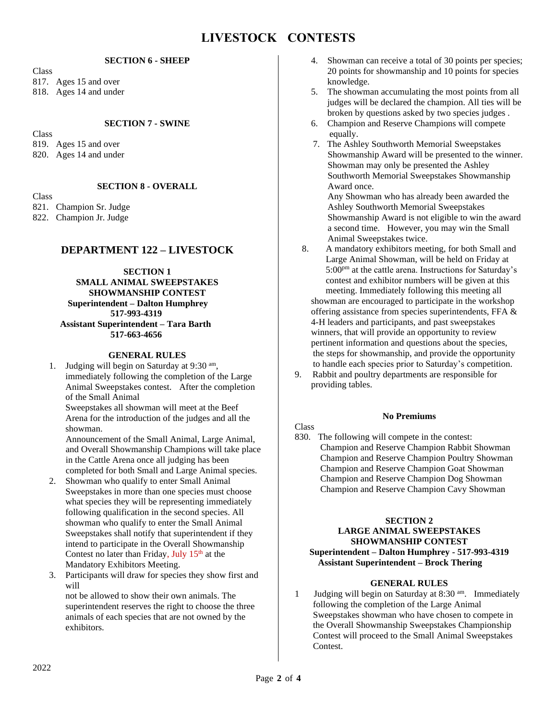# **LIVESTOCK CONTESTS**

#### **SECTION 6 - SHEEP**

Class 817. Ages 15 and over 818. Ages 14 and under

#### **SECTION 7 - SWINE**

Class 819. Ages 15 and over 820. Ages 14 and under

## **SECTION 8 - OVERALL**

Class 821. Champion Sr. Judge

822. Champion Jr. Judge

## **DEPARTMENT 122 – LIVESTOCK**

**SECTION 1 SMALL ANIMAL SWEEPSTAKES SHOWMANSHIP CONTEST Superintendent – Dalton Humphrey 517-993-4319 Assistant Superintendent – Tara Barth 517-663-4656**

#### **GENERAL RULES**

1. Judging will begin on Saturday at 9:30 am, immediately following the completion of the Large Animal Sweepstakes contest. After the completion of the Small Animal

Sweepstakes all showman will meet at the Beef Arena for the introduction of the judges and all the showman.

 Announcement of the Small Animal, Large Animal, and Overall Showmanship Champions will take place in the Cattle Arena once all judging has been completed for both Small and Large Animal species.

- 2. Showman who qualify to enter Small Animal Sweepstakes in more than one species must choose what species they will be representing immediately following qualification in the second species. All showman who qualify to enter the Small Animal Sweepstakes shall notify that superintendent if they intend to participate in the Overall Showmanship Contest no later than Friday, July  $15<sup>th</sup>$  at the Mandatory Exhibitors Meeting.
- 3. Participants will draw for species they show first and will

not be allowed to show their own animals. The superintendent reserves the right to choose the three animals of each species that are not owned by the exhibitors.

- 4. Showman can receive a total of 30 points per species; 20 points for showmanship and 10 points for species knowledge.
- 5. The showman accumulating the most points from all judges will be declared the champion. All ties will be broken by questions asked by two species judges .
- 6. Champion and Reserve Champions will compete equally.
- 7. The Ashley Southworth Memorial Sweepstakes Showmanship Award will be presented to the winner. Showman may only be presented the Ashley Southworth Memorial Sweepstakes Showmanship Award once.

 Any Showman who has already been awarded the Ashley Southworth Memorial Sweepstakes Showmanship Award is not eligible to win the award a second time. However, you may win the Small Animal Sweepstakes twice.

- 8. A mandatory exhibitors meeting, for both Small and Large Animal Showman, will be held on Friday at 5:00<sup>pm</sup> at the cattle arena. Instructions for Saturday's contest and exhibitor numbers will be given at this meeting. Immediately following this meeting all showman are encouraged to participate in the workshop offering assistance from species superintendents, FFA & 4-H leaders and participants, and past sweepstakes winners, that will provide an opportunity to review pertinent information and questions about the species, the steps for showmanship, and provide the opportunity to handle each species prior to Saturday's competition.
- 9. Rabbit and poultry departments are responsible for providing tables.

#### **No Premiums**

#### Class

830. The following will compete in the contest: Champion and Reserve Champion Rabbit Showman Champion and Reserve Champion Poultry Showman Champion and Reserve Champion Goat Showman Champion and Reserve Champion Dog Showman Champion and Reserve Champion Cavy Showman

#### **SECTION 2**

#### **LARGE ANIMAL SWEEPSTAKES SHOWMANSHIP CONTEST Superintendent – Dalton Humphrey - 517-993-4319 Assistant Superintendent – Brock Thering**

#### **GENERAL RULES**

1 Judging will begin on Saturday at 8:30 am. Immediately following the completion of the Large Animal Sweepstakes showman who have chosen to compete in the Overall Showmanship Sweepstakes Championship Contest will proceed to the Small Animal Sweepstakes Contest.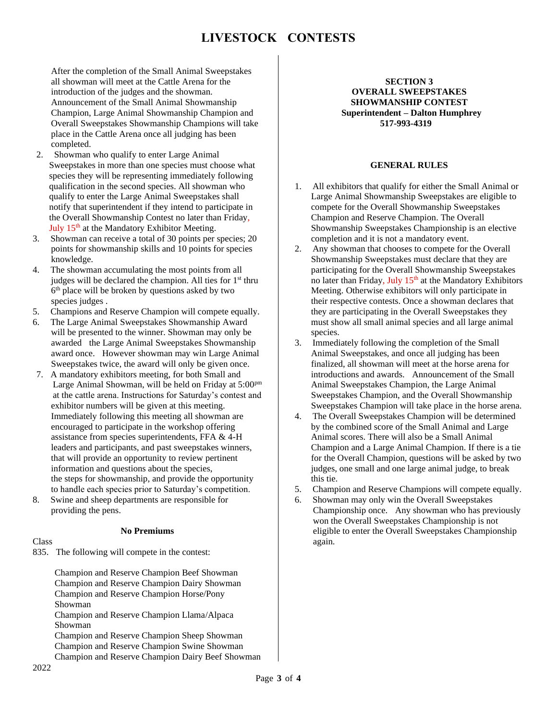After the completion of the Small Animal Sweepstakes all showman will meet at the Cattle Arena for the introduction of the judges and the showman. Announcement of the Small Animal Showmanship Champion, Large Animal Showmanship Champion and Overall Sweepstakes Showmanship Champions will take place in the Cattle Arena once all judging has been completed.

- 2. Showman who qualify to enter Large Animal Sweepstakes in more than one species must choose what species they will be representing immediately following qualification in the second species. All showman who qualify to enter the Large Animal Sweepstakes shall notify that superintendent if they intend to participate in the Overall Showmanship Contest no later than Friday, July 15<sup>th</sup> at the Mandatory Exhibitor Meeting.
- 3. Showman can receive a total of 30 points per species; 20 points for showmanship skills and 10 points for species knowledge.
- 4. The showman accumulating the most points from all judges will be declared the champion. All ties for  $1<sup>st</sup>$  thru 6 th place will be broken by questions asked by two species judges .
- 5. Champions and Reserve Champion will compete equally.
- 6. The Large Animal Sweepstakes Showmanship Award will be presented to the winner. Showman may only be awarded the Large Animal Sweepstakes Showmanship award once. However showman may win Large Animal Sweepstakes twice, the award will only be given once.
- 7. A mandatory exhibitors meeting, for both Small and Large Animal Showman, will be held on Friday at 5:00<sup>pm</sup> at the cattle arena. Instructions for Saturday's contest and exhibitor numbers will be given at this meeting. Immediately following this meeting all showman are encouraged to participate in the workshop offering assistance from species superintendents, FFA & 4-H leaders and participants, and past sweepstakes winners, that will provide an opportunity to review pertinent information and questions about the species, the steps for showmanship, and provide the opportunity to handle each species prior to Saturday's competition.
- 8. Swine and sheep departments are responsible for providing the pens.

#### **No Premiums**

#### Class

835. The following will compete in the contest:

 Champion and Reserve Champion Beef Showman Champion and Reserve Champion Dairy Showman Champion and Reserve Champion Horse/Pony Showman Champion and Reserve Champion Llama/Alpaca Showman Champion and Reserve Champion Sheep Showman Champion and Reserve Champion Swine Showman Champion and Reserve Champion Dairy Beef Showman

#### **SECTION 3 OVERALL SWEEPSTAKES SHOWMANSHIP CONTEST Superintendent – Dalton Humphrey 517-993-4319**

## **GENERAL RULES**

- 1. All exhibitors that qualify for either the Small Animal or Large Animal Showmanship Sweepstakes are eligible to compete for the Overall Showmanship Sweepstakes Champion and Reserve Champion. The Overall Showmanship Sweepstakes Championship is an elective completion and it is not a mandatory event.
- 2. Any showman that chooses to compete for the Overall Showmanship Sweepstakes must declare that they are participating for the Overall Showmanship Sweepstakes no later than Friday, July 15<sup>th</sup> at the Mandatory Exhibitors Meeting. Otherwise exhibitors will only participate in their respective contests. Once a showman declares that they are participating in the Overall Sweepstakes they must show all small animal species and all large animal species.
- 3. Immediately following the completion of the Small Animal Sweepstakes, and once all judging has been finalized, all showman will meet at the horse arena for introductions and awards. Announcement of the Small Animal Sweepstakes Champion, the Large Animal Sweepstakes Champion, and the Overall Showmanship Sweepstakes Champion will take place in the horse arena.
- 4. The Overall Sweepstakes Champion will be determined by the combined score of the Small Animal and Large Animal scores. There will also be a Small Animal Champion and a Large Animal Champion. If there is a tie for the Overall Champion, questions will be asked by two judges, one small and one large animal judge, to break this tie.
- 5. Champion and Reserve Champions will compete equally.
- 6. Showman may only win the Overall Sweepstakes Championship once. Any showman who has previously won the Overall Sweepstakes Championship is not eligible to enter the Overall Sweepstakes Championship again.